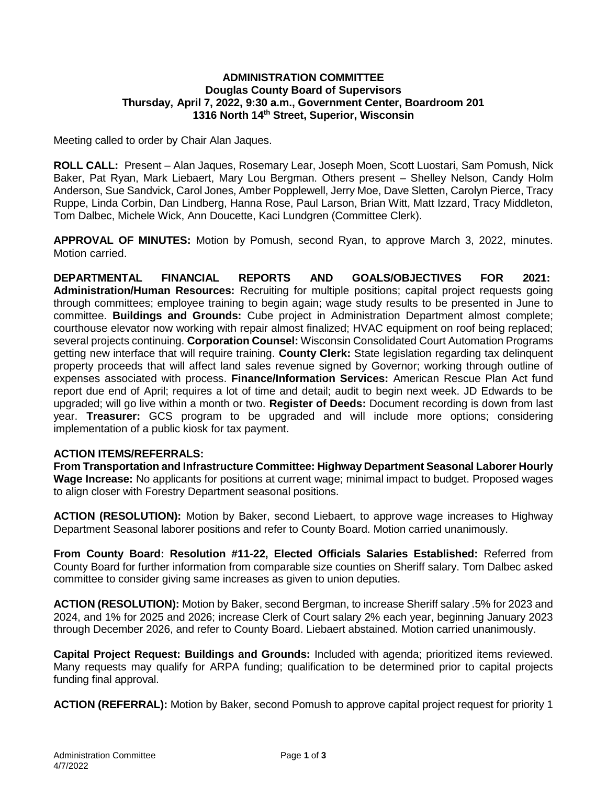## **ADMINISTRATION COMMITTEE Douglas County Board of Supervisors Thursday, April 7, 2022, 9:30 a.m., Government Center, Boardroom 201 1316 North 14th Street, Superior, Wisconsin**

Meeting called to order by Chair Alan Jaques.

**ROLL CALL:** Present – Alan Jaques, Rosemary Lear, Joseph Moen, Scott Luostari, Sam Pomush, Nick Baker, Pat Ryan, Mark Liebaert, Mary Lou Bergman. Others present – Shelley Nelson, Candy Holm Anderson, Sue Sandvick, Carol Jones, Amber Popplewell, Jerry Moe, Dave Sletten, Carolyn Pierce, Tracy Ruppe, Linda Corbin, Dan Lindberg, Hanna Rose, Paul Larson, Brian Witt, Matt Izzard, Tracy Middleton, Tom Dalbec, Michele Wick, Ann Doucette, Kaci Lundgren (Committee Clerk).

**APPROVAL OF MINUTES:** Motion by Pomush, second Ryan, to approve March 3, 2022, minutes. Motion carried.

**DEPARTMENTAL FINANCIAL REPORTS AND GOALS/OBJECTIVES FOR 2021: Administration/Human Resources:** Recruiting for multiple positions; capital project requests going through committees; employee training to begin again; wage study results to be presented in June to committee. **Buildings and Grounds:** Cube project in Administration Department almost complete; courthouse elevator now working with repair almost finalized; HVAC equipment on roof being replaced; several projects continuing. **Corporation Counsel:** Wisconsin Consolidated Court Automation Programs getting new interface that will require training. **County Clerk:** State legislation regarding tax delinquent property proceeds that will affect land sales revenue signed by Governor; working through outline of expenses associated with process. **Finance/Information Services:** American Rescue Plan Act fund report due end of April; requires a lot of time and detail; audit to begin next week. JD Edwards to be upgraded; will go live within a month or two. **Register of Deeds:** Document recording is down from last year. **Treasurer:** GCS program to be upgraded and will include more options; considering implementation of a public kiosk for tax payment.

### **ACTION ITEMS/REFERRALS:**

**From Transportation and Infrastructure Committee: Highway Department Seasonal Laborer Hourly Wage Increase:** No applicants for positions at current wage; minimal impact to budget. Proposed wages to align closer with Forestry Department seasonal positions.

**ACTION (RESOLUTION):** Motion by Baker, second Liebaert, to approve wage increases to Highway Department Seasonal laborer positions and refer to County Board. Motion carried unanimously.

**From County Board: Resolution #11-22, Elected Officials Salaries Established:** Referred from County Board for further information from comparable size counties on Sheriff salary. Tom Dalbec asked committee to consider giving same increases as given to union deputies.

**ACTION (RESOLUTION):** Motion by Baker, second Bergman, to increase Sheriff salary .5% for 2023 and 2024, and 1% for 2025 and 2026; increase Clerk of Court salary 2% each year, beginning January 2023 through December 2026, and refer to County Board. Liebaert abstained. Motion carried unanimously.

**Capital Project Request: Buildings and Grounds:** Included with agenda; prioritized items reviewed. Many requests may qualify for ARPA funding; qualification to be determined prior to capital projects funding final approval.

**ACTION (REFERRAL):** Motion by Baker, second Pomush to approve capital project request for priority 1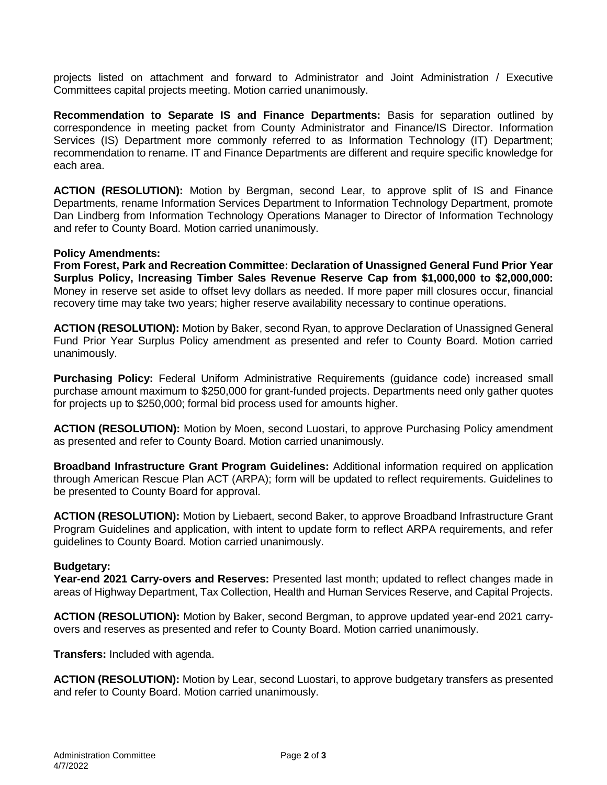projects listed on attachment and forward to Administrator and Joint Administration / Executive Committees capital projects meeting. Motion carried unanimously.

**Recommendation to Separate IS and Finance Departments:** Basis for separation outlined by correspondence in meeting packet from County Administrator and Finance/IS Director. Information Services (IS) Department more commonly referred to as Information Technology (IT) Department; recommendation to rename. IT and Finance Departments are different and require specific knowledge for each area.

**ACTION (RESOLUTION):** Motion by Bergman, second Lear, to approve split of IS and Finance Departments, rename Information Services Department to Information Technology Department, promote Dan Lindberg from Information Technology Operations Manager to Director of Information Technology and refer to County Board. Motion carried unanimously.

### **Policy Amendments:**

**From Forest, Park and Recreation Committee: Declaration of Unassigned General Fund Prior Year Surplus Policy, Increasing Timber Sales Revenue Reserve Cap from \$1,000,000 to \$2,000,000:** Money in reserve set aside to offset levy dollars as needed. If more paper mill closures occur, financial recovery time may take two years; higher reserve availability necessary to continue operations.

**ACTION (RESOLUTION):** Motion by Baker, second Ryan, to approve Declaration of Unassigned General Fund Prior Year Surplus Policy amendment as presented and refer to County Board. Motion carried unanimously.

**Purchasing Policy:** Federal Uniform Administrative Requirements (guidance code) increased small purchase amount maximum to \$250,000 for grant-funded projects. Departments need only gather quotes for projects up to \$250,000; formal bid process used for amounts higher.

**ACTION (RESOLUTION):** Motion by Moen, second Luostari, to approve Purchasing Policy amendment as presented and refer to County Board. Motion carried unanimously.

**Broadband Infrastructure Grant Program Guidelines:** Additional information required on application through American Rescue Plan ACT (ARPA); form will be updated to reflect requirements. Guidelines to be presented to County Board for approval.

**ACTION (RESOLUTION):** Motion by Liebaert, second Baker, to approve Broadband Infrastructure Grant Program Guidelines and application, with intent to update form to reflect ARPA requirements, and refer guidelines to County Board. Motion carried unanimously.

### **Budgetary:**

**Year-end 2021 Carry-overs and Reserves:** Presented last month; updated to reflect changes made in areas of Highway Department, Tax Collection, Health and Human Services Reserve, and Capital Projects.

**ACTION (RESOLUTION):** Motion by Baker, second Bergman, to approve updated year-end 2021 carryovers and reserves as presented and refer to County Board. Motion carried unanimously.

**Transfers:** Included with agenda.

**ACTION (RESOLUTION):** Motion by Lear, second Luostari, to approve budgetary transfers as presented and refer to County Board. Motion carried unanimously.